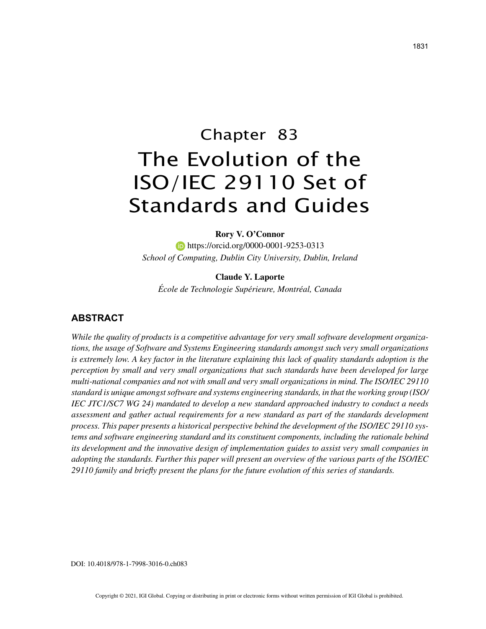# Chapter 83 The Evolution of the ISO/IEC 29110 Set of Standards and Guides

**Rory V. O'Connor**

**https://orcid.org/0000-0001-9253-0313** *School of Computing, Dublin City University, Dublin, Ireland*

**Claude Y. Laporte**

*École de Technologie Supérieure, Montréal, Canada*

## **ABSTRACT**

*While the quality of products is a competitive advantage for very small software development organizations, the usage of Software and Systems Engineering standards amongst such very small organizations is extremely low. A key factor in the literature explaining this lack of quality standards adoption is the perception by small and very small organizations that such standards have been developed for large multi-national companies and not with small and very small organizations in mind. The ISO/IEC 29110 standard is unique amongst software and systems engineering standards, in that the working group (ISO/ IEC JTC1/SC7 WG 24) mandated to develop a new standard approached industry to conduct a needs assessment and gather actual requirements for a new standard as part of the standards development process. This paper presents a historical perspective behind the development of the ISO/IEC 29110 systems and software engineering standard and its constituent components, including the rationale behind its development and the innovative design of implementation guides to assist very small companies in adopting the standards. Further this paper will present an overview of the various parts of the ISO/IEC 29110 family and briefly present the plans for the future evolution of this series of standards.*

DOI: 10.4018/978-1-7998-3016-0.ch083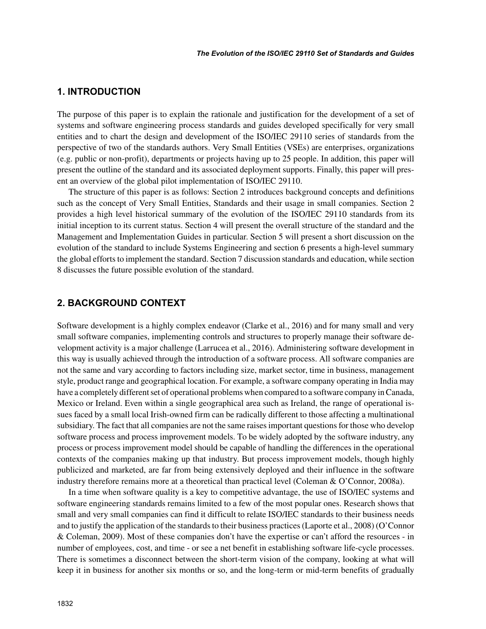# **1. INTRODUCTION**

The purpose of this paper is to explain the rationale and justification for the development of a set of systems and software engineering process standards and guides developed specifically for very small entities and to chart the design and development of the ISO/IEC 29110 series of standards from the perspective of two of the standards authors. Very Small Entities (VSEs) are enterprises, organizations (e.g. public or non-profit), departments or projects having up to 25 people. In addition, this paper will present the outline of the standard and its associated deployment supports. Finally, this paper will present an overview of the global pilot implementation of ISO/IEC 29110.

The structure of this paper is as follows: Section 2 introduces background concepts and definitions such as the concept of Very Small Entities, Standards and their usage in small companies. Section 2 provides a high level historical summary of the evolution of the ISO/IEC 29110 standards from its initial inception to its current status. Section 4 will present the overall structure of the standard and the Management and Implementation Guides in particular. Section 5 will present a short discussion on the evolution of the standard to include Systems Engineering and section 6 presents a high-level summary the global efforts to implement the standard. Section 7 discussion standards and education, while section 8 discusses the future possible evolution of the standard.

## **2. BACKGROUND CONTEXT**

Software development is a highly complex endeavor (Clarke et al., 2016) and for many small and very small software companies, implementing controls and structures to properly manage their software development activity is a major challenge (Larrucea et al., 2016). Administering software development in this way is usually achieved through the introduction of a software process. All software companies are not the same and vary according to factors including size, market sector, time in business, management style, product range and geographical location. For example, a software company operating in India may have a completely different set of operational problems when compared to a software company in Canada, Mexico or Ireland. Even within a single geographical area such as Ireland, the range of operational issues faced by a small local Irish-owned firm can be radically different to those affecting a multinational subsidiary. The fact that all companies are not the same raises important questions for those who develop software process and process improvement models. To be widely adopted by the software industry, any process or process improvement model should be capable of handling the differences in the operational contexts of the companies making up that industry. But process improvement models, though highly publicized and marketed, are far from being extensively deployed and their influence in the software industry therefore remains more at a theoretical than practical level (Coleman & O'Connor, 2008a).

In a time when software quality is a key to competitive advantage, the use of ISO/IEC systems and software engineering standards remains limited to a few of the most popular ones. Research shows that small and very small companies can find it difficult to relate ISO/IEC standards to their business needs and to justify the application of the standards to their business practices (Laporte et al., 2008) (O'Connor & Coleman, 2009). Most of these companies don't have the expertise or can't afford the resources - in number of employees, cost, and time - or see a net benefit in establishing software life-cycle processes. There is sometimes a disconnect between the short-term vision of the company, looking at what will keep it in business for another six months or so, and the long-term or mid-term benefits of gradually